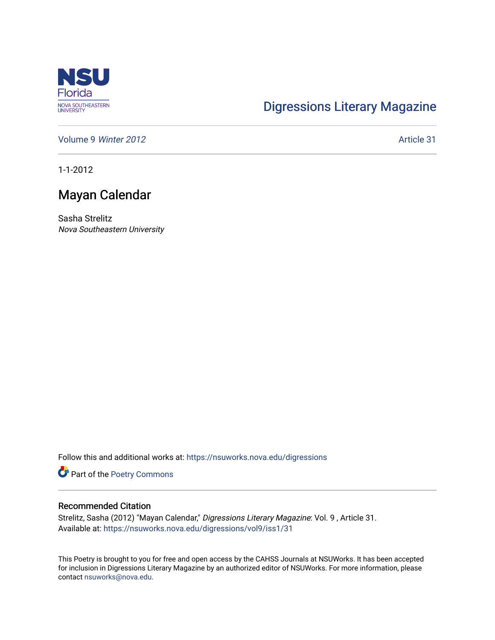

## [Digressions Literary Magazine](https://nsuworks.nova.edu/digressions)

[Volume 9](https://nsuworks.nova.edu/digressions/vol9) Winter 2012 **Article 31** 

1-1-2012

## Mayan Calendar

Sasha Strelitz Nova Southeastern University

Follow this and additional works at: [https://nsuworks.nova.edu/digressions](https://nsuworks.nova.edu/digressions?utm_source=nsuworks.nova.edu%2Fdigressions%2Fvol9%2Fiss1%2F31&utm_medium=PDF&utm_campaign=PDFCoverPages) 

Part of the [Poetry Commons](http://network.bepress.com/hgg/discipline/1153?utm_source=nsuworks.nova.edu%2Fdigressions%2Fvol9%2Fiss1%2F31&utm_medium=PDF&utm_campaign=PDFCoverPages) 

## Recommended Citation

Strelitz, Sasha (2012) "Mayan Calendar," Digressions Literary Magazine: Vol. 9 , Article 31. Available at: [https://nsuworks.nova.edu/digressions/vol9/iss1/31](https://nsuworks.nova.edu/digressions/vol9/iss1/31?utm_source=nsuworks.nova.edu%2Fdigressions%2Fvol9%2Fiss1%2F31&utm_medium=PDF&utm_campaign=PDFCoverPages) 

This Poetry is brought to you for free and open access by the CAHSS Journals at NSUWorks. It has been accepted for inclusion in Digressions Literary Magazine by an authorized editor of NSUWorks. For more information, please contact [nsuworks@nova.edu.](mailto:nsuworks@nova.edu)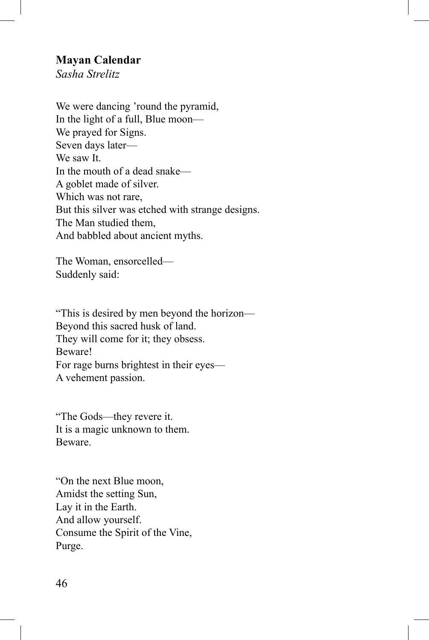## **Mayan Calendar**

*Sasha Strelitz*

We were dancing 'round the pyramid, In the light of a full, Blue moon— We prayed for Signs. Seven days later— We saw It. In the mouth of a dead snake— A goblet made of silver. Which was not rare, But this silver was etched with strange designs. The Man studied them, And babbled about ancient myths.

The Woman, ensorcelled— Suddenly said:

"This is desired by men beyond the horizon— Beyond this sacred husk of land. They will come for it; they obsess. Beware! For rage burns brightest in their eyes— A vehement passion.

"The Gods––they revere it. It is a magic unknown to them. Beware.

"On the next Blue moon, Amidst the setting Sun, Lay it in the Earth. And allow yourself. Consume the Spirit of the Vine, Purge.